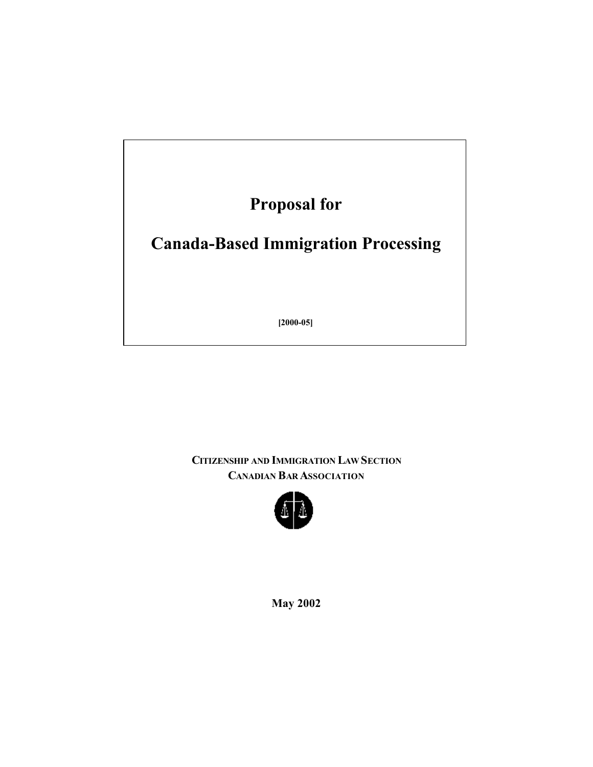**Proposal for** 

# **Canada-Based Immigration Processing**

**[2000-05]** 

**CITIZENSHIP AND IMMIGRATION LAW SECTION CANADIAN BAR ASSOCIATION**



**May 2002**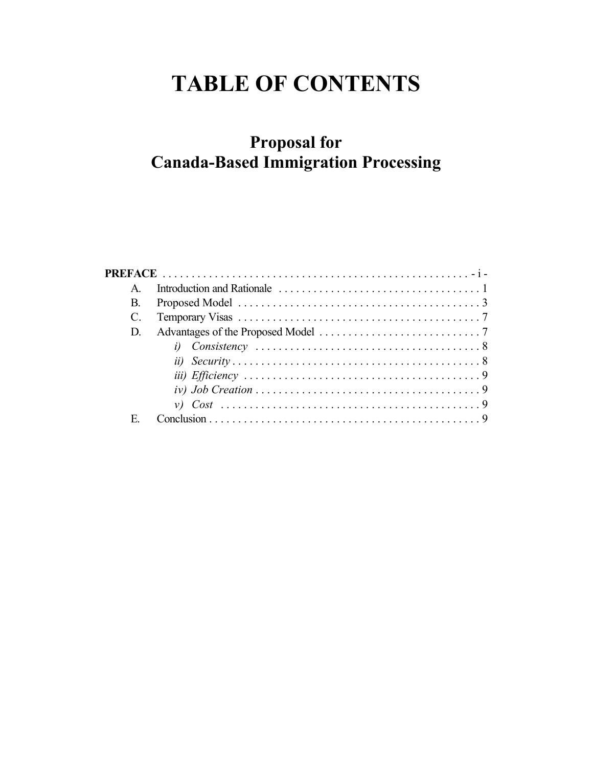# **TABLE OF CONTENTS**

# **Proposal for Canada-Based Immigration Processing**

| A  |  |
|----|--|
| В. |  |
|    |  |
| D. |  |
|    |  |
|    |  |
|    |  |
|    |  |
|    |  |
| E  |  |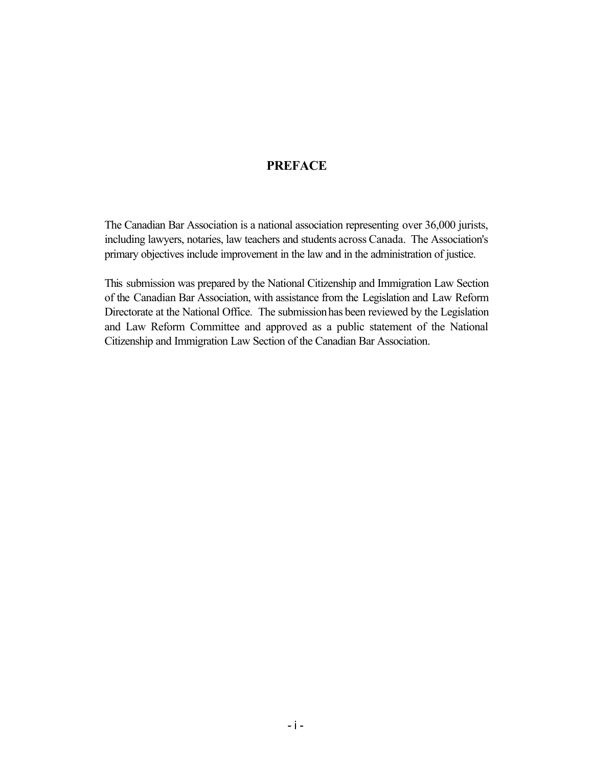## **PREFACE**

 including lawyers, notaries, law teachers and students across Canada. The Association's The Canadian Bar Association is a national association representing over 36,000 jurists, primary objectives include improvement in the law and in the administration of justice.

 of the Canadian Bar Association, with assistance from the Legislation and Law Reform Directorate at the National Office. The submissionhas been reviewed by the Legislation This submission was prepared by the National Citizenship and Immigration Law Section and Law Reform Committee and approved as a public statement of the National Citizenship and Immigration Law Section of the Canadian Bar Association.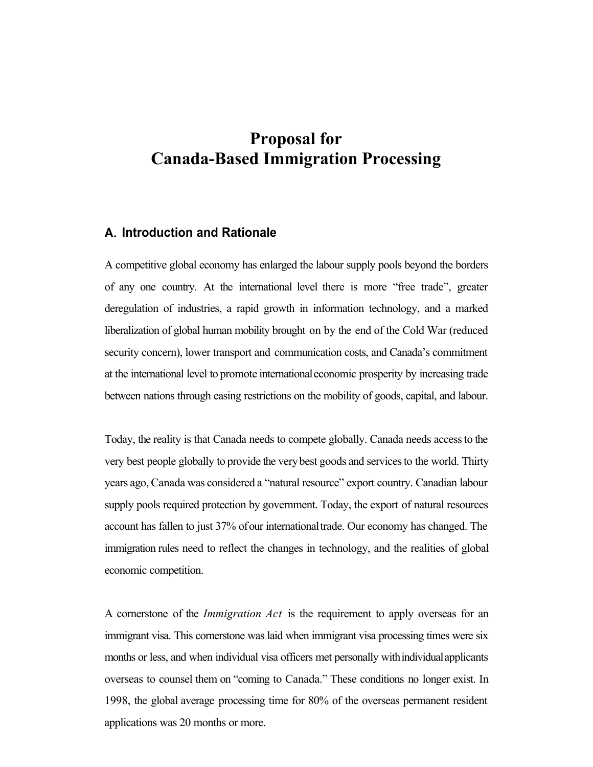# **Proposal for Canada-Based Immigration Processing**

#### **A. Introduction and Rationale**

 of any one country. At the international level there is more "free trade", greater liberalization of global human mobility brought on by the end of the Cold War (reduced at the international level to promote internationaleconomic prosperity by increasing trade A competitive global economy has enlarged the labour supply pools beyond the borders deregulation of industries, a rapid growth in information technology, and a marked security concern), lower transport and communication costs, and Canada's commitment between nations through easing restrictions on the mobility of goods, capital, and labour.

 Today, the reality is that Canada needs to compete globally. Canada needs access to the very best people globally to provide the very best goods and services to the world. Thirty years ago, Canada was considered a "natural resource" export country. Canadian labour supply pools required protection by government. Today, the export of natural resources account has fallen to just 37% ofour internationaltrade. Our economy has changed. The immigration rules need to reflect the changes in technology, and the realities of global economic competition.

 A cornerstone of the *Immigration Act* is the requirement to apply overseas for an months or less, and when individual visa officers met personally with individual applicants overseas to counsel them on "coming to Canada." These conditions no longer exist. In 1998, the global average processing time for 80% of the overseas permanent resident immigrant visa. This cornerstone was laid when immigrant visa processing times were six applications was 20 months or more.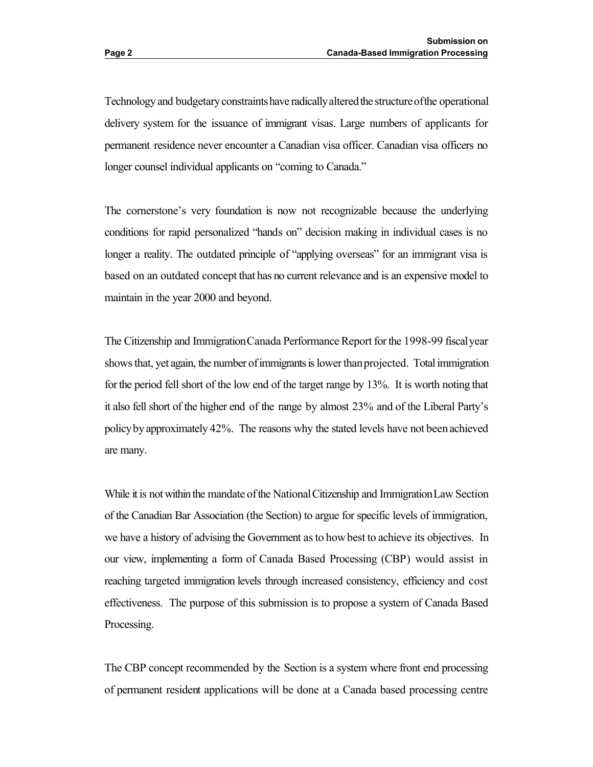Technology and budgetary constraints have radically altered the structure of the operational delivery system for the issuance of immigrant visas. Large numbers of applicants for permanent residence never encounter a Canadian visa officer. Canadian visa officers no longer counsel individual applicants on "coming to Canada."

 The cornerstone's very foundation is now not recognizable because the underlying conditions for rapid personalized "hands on" decision making in individual cases is no longer a reality. The outdated principle of "applying overseas" for an immigrant visa is based on an outdated concept that has no current relevance and is an expensive model to maintain in the year 2000 and beyond.

The Citizenship and Immigration Canada Performance Report for the 1998-99 fiscal year shows that, yet again, the number of immigrants is lower than projected. Total immigration for the period fell short of the low end of the target range by 13%. It is worth noting that it also fell short of the higher end of the range by almost 23% and of the Liberal Party's policybyapproximately 42%. The reasons why the stated levels have not beenachieved are many.

While it is not within the mandate of the National Citizenship and Immigration Law Section we have a history of advising the Government as to how best to achieve its objectives. In our view, implementing a form of Canada Based Processing (CBP) would assist in reaching targeted immigration levels through increased consistency, efficiency and cost of the Canadian Bar Association (the Section) to argue for specific levels of immigration, effectiveness. The purpose of this submission is to propose a system of Canada Based Processing.

 The CBP concept recommended by the Section is a system where front end processing of permanent resident applications will be done at a Canada based processing centre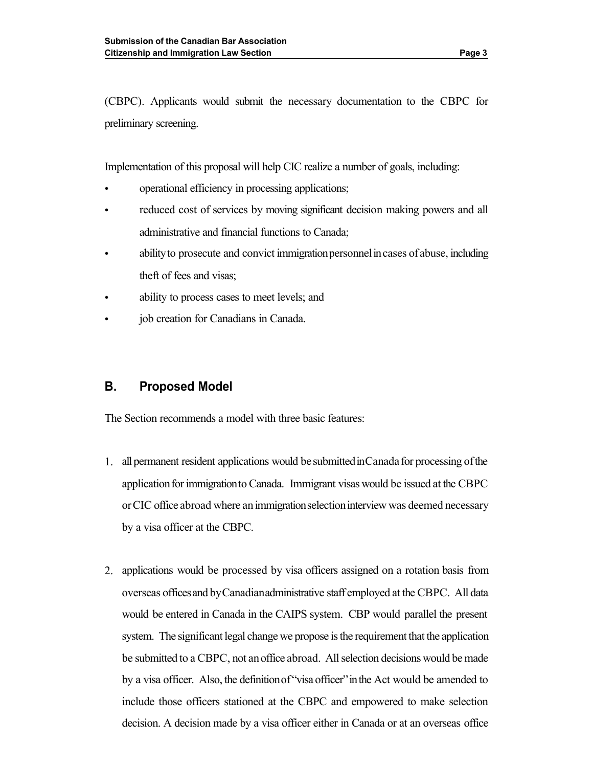(CBPC). Applicants would submit the necessary documentation to the CBPC for preliminary screening.

Implementation of this proposal will help CIC realize a number of goals, including:

- operational efficiency in processing applications;
- reduced cost of services by moving significant decision making powers and all administrative and financial functions to Canada;
- ability to prosecute and convict immigration personnel in cases of abuse, including theft of fees and visas;
- ability to process cases to meet levels; and
- job creation for Canadians in Canada.

## **B. Proposed Model**

The Section recommends a model with three basic features:

- 1. all permanent resident applications would be submitted in Canada for processing of the application for immigration to Canada. Immigrant visas would be issued at the CBPC or CIC office abroad where an immigration selection interview was deemed necessary by a visa officer at the CBPC.
- 2. applications would be processed by visa officers assigned on a rotation basis from overseas officesand byCanadianadministrative staff employed at the CBPC. All data would be entered in Canada in the CAIPS system. CBP would parallel the present be submitted to a CBPC, not an office abroad. All selection decisions would be made by a visa officer. Also, the definition of "visa officer" in the Act would be amended to system. The significant legal change we propose is the requirement that the application include those officers stationed at the CBPC and empowered to make selection decision. A decision made by a visa officer either in Canada or at an overseas office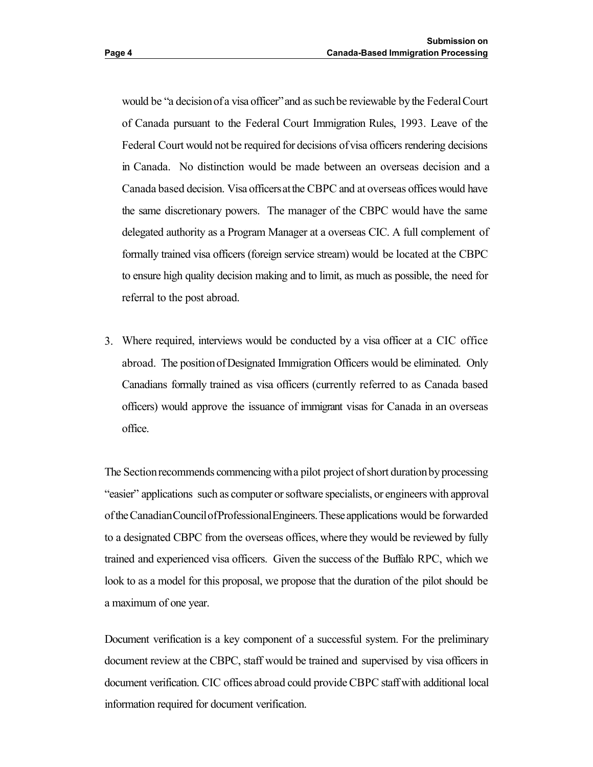would be "a decision of a visa officer" and as such be reviewable by the Federal Court of Canada pursuant to the Federal Court Immigration Rules, 1993. Leave of the Federal Court would not be required for decisions of visa officers rendering decisions Canada based decision. Visa officersatthe CBPC and at overseas offices would have the same discretionary powers. The manager of the CBPC would have the same in Canada. No distinction would be made between an overseas decision and a delegated authority as a Program Manager at a overseas CIC. A full complement of formally trained visa officers (foreign service stream) would be located at the CBPC to ensure high quality decision making and to limit, as much as possible, the need for referral to the post abroad.

 3. Where required, interviews would be conducted by a visa officer at a CIC office abroad. The positionofDesignated Immigration Officers would be eliminated. Only Canadians formally trained as visa officers (currently referred to as Canada based officers) would approve the issuance of immigrant visas for Canada in an overseas office.

The Section recommends commencing with a pilot project of short duration by processing oftheCanadianCouncilofProfessionalEngineers.Theseapplications would be forwarded to a designated CBPC from the overseas offices, where they would be reviewed by fully trained and experienced visa officers. Given the success of the Buffalo RPC, which we look to as a model for this proposal, we propose that the duration of the pilot should be "easier" applications such as computer or software specialists, or engineers with approval a maximum of one year.

 document review at the CBPC, staff would be trained and supervised by visa officers in document verification. CIC offices abroad could provide CBPC staff with additional local Document verification is a key component of a successful system. For the preliminary information required for document verification.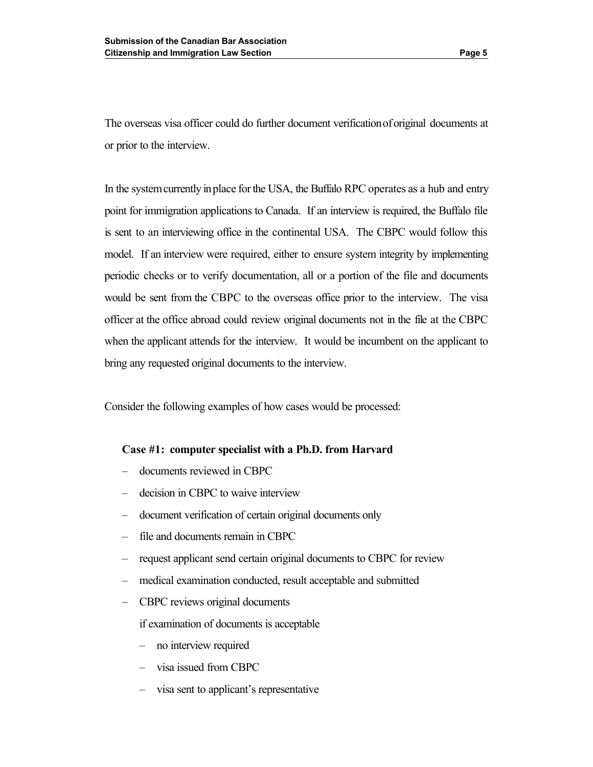The overseas visa officer could do further document verificationoforiginal documents at or prior to the interview.

In the system currently in place for the USA, the Buffalo RPC operates as a hub and entry is sent to an interviewing office in the continental USA. The CBPC would follow this model. If an interview were required, either to ensure system integrity by implementing would be sent from the CBPC to the overseas office prior to the interview. The visa officer at the office abroad could review original documents not in the file at the CBPC when the applicant attends for the interview. It would be incumbent on the applicant to point for immigration applications to Canada. If an interview is required, the Buffalo file periodic checks or to verify documentation, all or a portion of the file and documents bring any requested original documents to the interview.

Consider the following examples of how cases would be processed:

#### **Case #1: computer specialist with a Ph.D. from Harvard**

- documents reviewed in CBPC
- decision in CBPC to waive interview
- document verification of certain original documents only
- file and documents remain in CBPC
- request applicant send certain original documents to CBPC for review
- medical examination conducted, result acceptable and submitted
- CBPC reviews original documents

if examination of documents is acceptable

- no interview required
- visa issued from CBPC
- visa sent to applicant's representative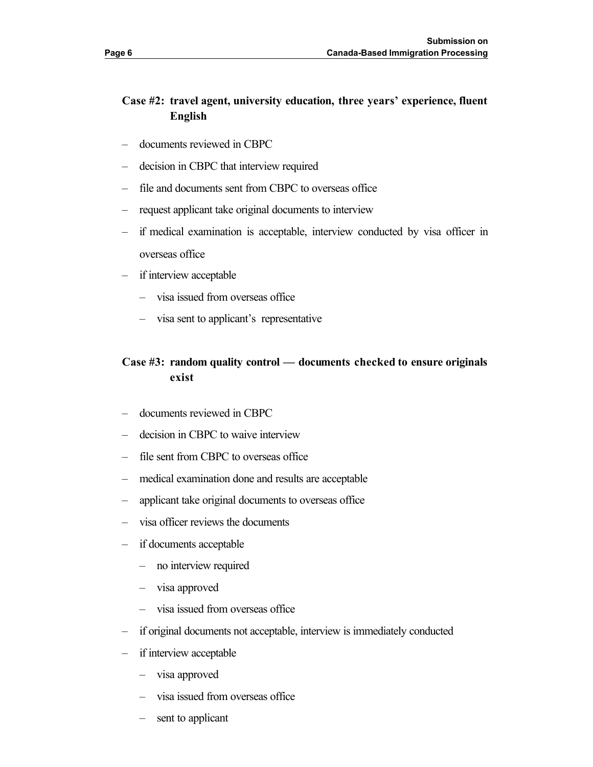## **Case #2: travel agent, university education, three years' experience, fluent English**

- documents reviewed in CBPC
- decision in CBPC that interview required
- file and documents sent from CBPC to overseas office
- request applicant take original documents to interview
- – if medical examination is acceptable, interview conducted by visa officer in overseas office
- if interview acceptable
	- visa issued from overseas office
	- visa sent to applicant's representative

# **Case #3: random quality control — documents checked to ensure originals exist**

- documents reviewed in CBPC
- decision in CBPC to waive interview
- file sent from CBPC to overseas office
- medical examination done and results are acceptable
- applicant take original documents to overseas office
- visa officer reviews the documents
- if documents acceptable
	- no interview required
	- visa approved
	- visa issued from overseas office
- if original documents not acceptable, interview is immediately conducted
- if interview acceptable
	- visa approved
	- visa issued from overseas office
	- sent to applicant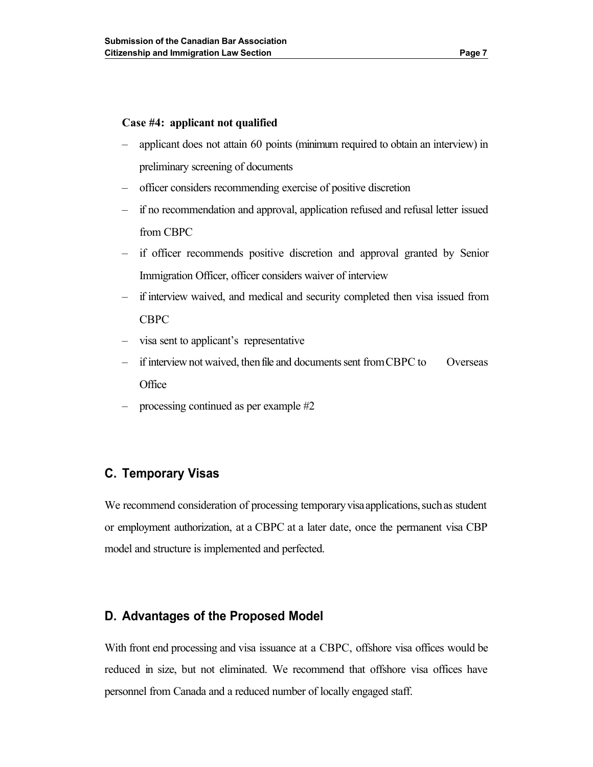#### **Case #4: applicant not qualified**

- applicant does not attain 60 points (minimum required to obtain an interview) in preliminary screening of documents
- officer considers recommending exercise of positive discretion
- if no recommendation and approval, application refused and refusal letter issued from CBPC
- if officer recommends positive discretion and approval granted by Senior Immigration Officer, officer considers waiver of interview
- – if interview waived, and medical and security completed then visa issued from CBPC
- visa sent to applicant's representative
- if interview not waived, then file and documents sent from CBPC to Overseas **Office**
- processing continued as per example #2

# **C. Temporary Visas**

We recommend consideration of processing temporary visa applications, such as student or employment authorization, at a CBPC at a later date, once the permanent visa CBP model and structure is implemented and perfected.

### **D. Advantages of the Proposed Model**

 With front end processing and visa issuance at a CBPC, offshore visa offices would be reduced in size, but not eliminated. We recommend that offshore visa offices have personnel from Canada and a reduced number of locally engaged staff.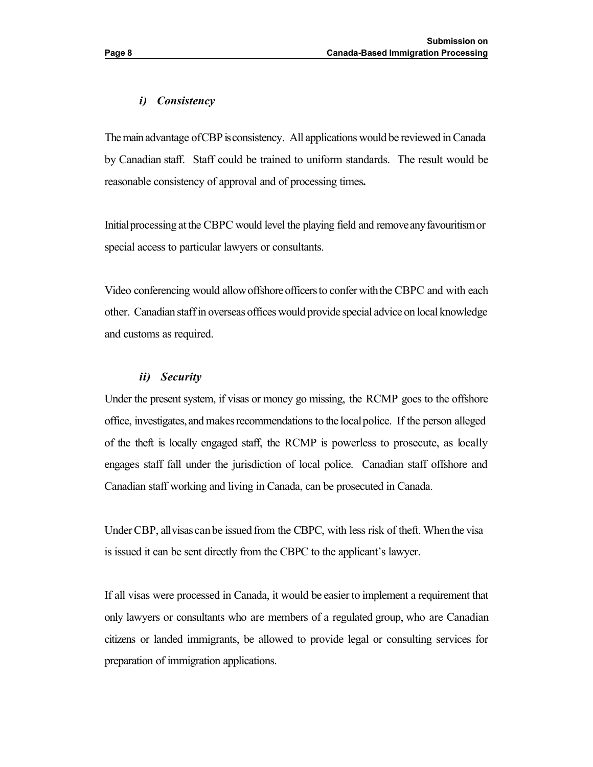The main advantage of CBP is consistency. All applications would be reviewed in Canada by Canadian staff. Staff could be trained to uniform standards. The result would be reasonable consistency of approval and of processing times**.** 

Initialprocessing at the CBPC would level the playing field and removeany favouritismor special access to particular lawyers or consultants.

Video conferencing would allow offshore officers to confer with the CBPC and with each other. Canadian staff in overseas offices would provide special advice on local knowledge and customs as required.

#### *ii) Security*

 Under the present system, if visas or money go missing, the RCMP goes to the offshore office, investigates, and makes recommendations to the localpolice. If the person alleged of the theft is locally engaged staff, the RCMP is powerless to prosecute, as locally engages staff fall under the jurisdiction of local police. Canadian staff offshore and Canadian staff working and living in Canada, can be prosecuted in Canada.

Under CBP, all visas canbe issued from the CBPC, with less risk of theft. Whenthe visa is issued it can be sent directly from the CBPC to the applicant's lawyer.

 If all visas were processed in Canada, it would be easier to implement a requirement that only lawyers or consultants who are members of a regulated group, who are Canadian citizens or landed immigrants, be allowed to provide legal or consulting services for preparation of immigration applications.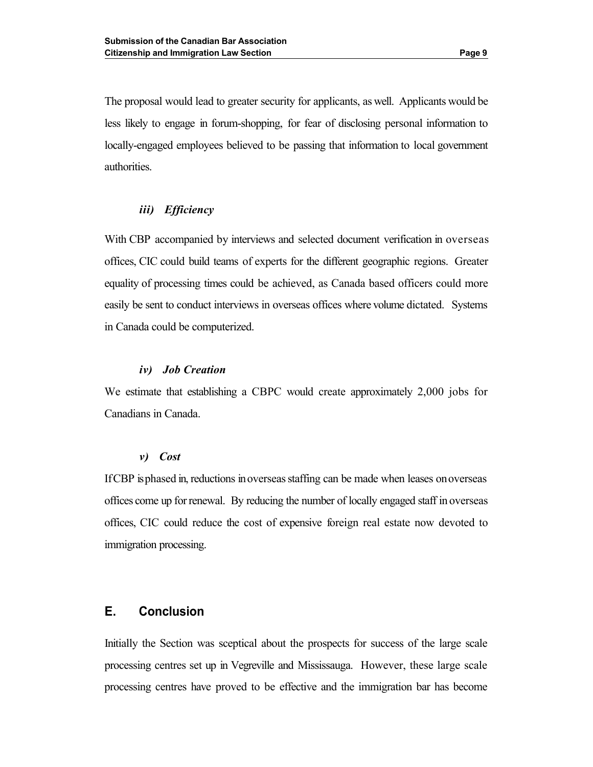less likely to engage in forum-shopping, for fear of disclosing personal information to locally-engaged employees believed to be passing that information to local government The proposal would lead to greater security for applicants, as well. Applicants would be authorities.

#### *iii) Efficiency*

 With CBP accompanied by interviews and selected document verification in overseas offices, CIC could build teams of experts for the different geographic regions. Greater equality of processing times could be achieved, as Canada based officers could more easily be sent to conduct interviews in overseas offices where volume dictated. Systems in Canada could be computerized.

#### *iv) Job Creation*

 We estimate that establishing a CBPC would create approximately 2,000 jobs for Canadians in Canada.

#### *v) Cost*

 IfCBP is phased in, reductions inoverseas staffing can be made when leases onoverseas offices come up for renewal. By reducing the number of locally engaged staff in overseas offices, CIC could reduce the cost of expensive foreign real estate now devoted to immigration processing.

#### **E. Conclusion**

 processing centres set up in Vegreville and Mississauga. However, these large scale processing centres have proved to be effective and the immigration bar has become Initially the Section was sceptical about the prospects for success of the large scale